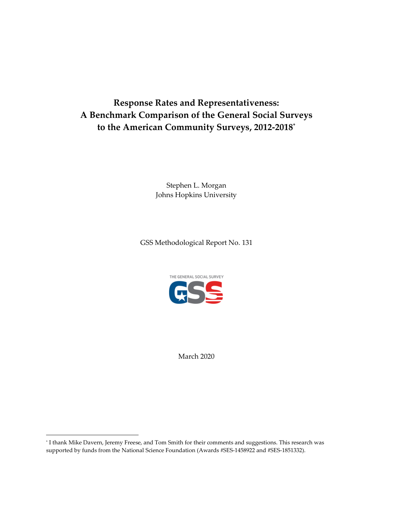# **Response Rates and Representativeness: A Benchmark Comparison of the General Social Surveys to the American Community Surveys, 2012-2018\***

Stephen L. Morgan Johns Hopkins University

GSS Methodological Report No. 131



March 2020

<sup>\*</sup> I thank Mike Davern, Jeremy Freese, and Tom Smith for their comments and suggestions. This research was supported by funds from the National Science Foundation (Awards #SES-1458922 and #SES-1851332).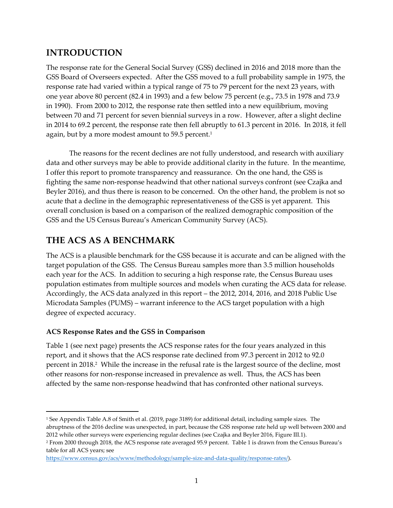## **INTRODUCTION**

The response rate for the General Social Survey (GSS) declined in 2016 and 2018 more than the GSS Board of Overseers expected. After the GSS moved to a full probability sample in 1975, the response rate had varied within a typical range of 75 to 79 percent for the next 23 years, with one year above 80 percent (82.4 in 1993) and a few below 75 percent (e.g., 73.5 in 1978 and 73.9 in 1990). From 2000 to 2012, the response rate then settled into a new equilibrium, moving between 70 and 71 percent for seven biennial surveys in a row. However, after a slight decline in 2014 to 69.2 percent, the response rate then fell abruptly to 61.3 percent in 2016. In 2018, it fell again, but by a more modest amount to 59.5 percent. 1

The reasons for the recent declines are not fully understood, and research with auxiliary data and other surveys may be able to provide additional clarity in the future. In the meantime, I offer this report to promote transparency and reassurance. On the one hand, the GSS is fighting the same non-response headwind that other national surveys confront (see Czajka and Beyler 2016), and thus there is reason to be concerned. On the other hand, the problem is not so acute that a decline in the demographic representativeness of the GSS is yet apparent. This overall conclusion is based on a comparison of the realized demographic composition of the GSS and the US Census Bureau's American Community Survey (ACS).

# **THE ACS AS A BENCHMARK**

The ACS is a plausible benchmark for the GSS because it is accurate and can be aligned with the target population of the GSS. The Census Bureau samples more than 3.5 million households each year for the ACS. In addition to securing a high response rate, the Census Bureau uses population estimates from multiple sources and models when curating the ACS data for release. Accordingly, the ACS data analyzed in this report – the 2012, 2014, 2016, and 2018 Public Use Microdata Samples (PUMS) – warrant inference to the ACS target population with a high degree of expected accuracy.

### **ACS Response Rates and the GSS in Comparison**

Table 1 (see next page) presents the ACS response rates for the four years analyzed in this report, and it shows that the ACS response rate declined from 97.3 percent in 2012 to 92.0 percent in 2018. <sup>2</sup> While the increase in the refusal rate is the largest source of the decline, most other reasons for non-response increased in prevalence as well. Thus, the ACS has been affected by the same non-response headwind that has confronted other national surveys.

<sup>1</sup> See Appendix Table A.8 of Smith et al. (2019, page 3189) for additional detail, including sample sizes. The abruptness of the 2016 decline was unexpected, in part, because the GSS response rate held up well between 2000 and 2012 while other surveys were experiencing regular declines (see Czajka and Beyler 2016, Figure III.1).

<sup>2</sup> From 2000 through 2018, the ACS response rate averaged 95.9 percent. Table 1 is drawn from the Census Bureau's table for all ACS years; see

[https://www.census.gov/acs/www/methodology/sample-size-and-data-quality/response-rates/\)](https://www.census.gov/acs/www/methodology/sample-size-and-data-quality/response-rates/).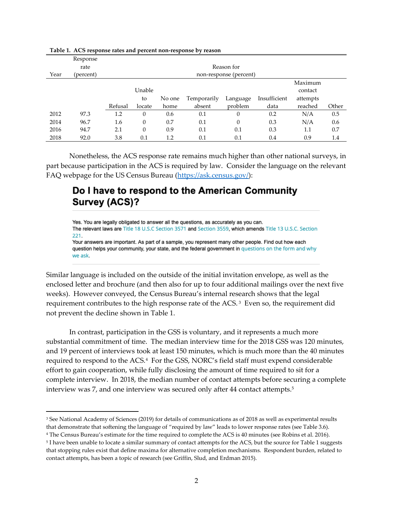|      | Response  |         |              |        |             |                        |              |          |       |
|------|-----------|---------|--------------|--------|-------------|------------------------|--------------|----------|-------|
|      | rate      |         |              |        |             | Reason for             |              |          |       |
| Year | (percent) |         |              |        |             | non-response (percent) |              |          |       |
|      |           |         |              |        |             |                        |              | Maximum  |       |
|      |           |         | Unable       |        |             |                        |              | contact  |       |
|      |           |         | to           | No one | Temporarily | Language               | Insufficient | attempts |       |
|      |           | Refusal | locate       | home   | absent      | problem                | data         | reached  | Other |
| 2012 | 97.3      | 1.2     | $\mathbf{0}$ | 0.6    | 0.1         | $\mathbf{0}$           | 0.2          | N/A      | 0.5   |
| 2014 | 96.7      | 1.6     | $\mathbf{0}$ | 0.7    | 0.1         | $\theta$               | 0.3          | N/A      | 0.6   |
| 2016 | 94.7      | 2.1     | $\mathbf{0}$ | 0.9    | 0.1         | 0.1                    | 0.3          | 1.1      | 0.7   |
| 2018 | 92.0      | 3.8     | 0.1          | 1.2    | 0.1         | 0.1                    | 0.4          | 0.9      | 1.4   |

**Table 1. ACS response rates and percent non-response by reason**

Nonetheless, the ACS response rate remains much higher than other national surveys, in part because participation in the ACS is required by law. Consider the language on the relevant FAQ webpage for the US Census Bureau [\(https://ask.census.gov/\)](https://ask.census.gov/):

# Do I have to respond to the American Community **Survey (ACS)?**

Yes. You are legally obligated to answer all the questions, as accurately as you can. The relevant laws are Title 18 U.S.C Section 3571 and Section 3559, which amends Title 13 U.S.C. Section 221. Your answers are important. As part of a sample, you represent many other people. Find out how each question helps your community, your state, and the federal government in questions on the form and why we ask.

Similar language is included on the outside of the initial invitation envelope, as well as the enclosed letter and brochure (and then also for up to four additional mailings over the next five weeks). However conveyed, the Census Bureau's internal research shows that the legal requirement contributes to the high response rate of the ACS. 3 Even so, the requirement did not prevent the decline shown in Table 1.

In contrast, participation in the GSS is voluntary, and it represents a much more substantial commitment of time. The median interview time for the 2018 GSS was 120 minutes, and 19 percent of interviews took at least 150 minutes, which is much more than the 40 minutes required to respond to the ACS.<sup>4</sup> For the GSS, NORC's field staff must expend considerable effort to gain cooperation, while fully disclosing the amount of time required to sit for a complete interview. In 2018, the median number of contact attempts before securing a complete interview was 7, and one interview was secured only after  $44$  contact attempts. $5$ 

<sup>3</sup> See National Academy of Sciences (2019) for details of communications as of 2018 as well as experimental results that demonstrate that softening the language of "required by law" leads to lower response rates (see Table 3.6).

<sup>4</sup> The Census Bureau's estimate for the time required to complete the ACS is 40 minutes (see Robins et al. 2016).

<sup>5</sup> I have been unable to locate a similar summary of contact attempts for the ACS, but the source for Table 1 suggests that stopping rules exist that define maxima for alternative completion mechanisms. Respondent burden, related to contact attempts, has been a topic of research (see Griffin, Slud, and Erdman 2015).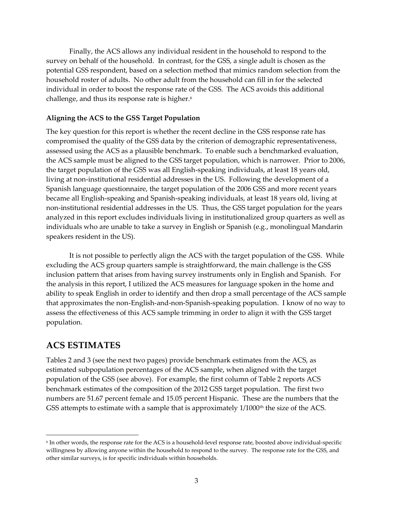Finally, the ACS allows any individual resident in the household to respond to the survey on behalf of the household. In contrast, for the GSS, a single adult is chosen as the potential GSS respondent, based on a selection method that mimics random selection from the household roster of adults. No other adult from the household can fill in for the selected individual in order to boost the response rate of the GSS. The ACS avoids this additional challenge, and thus its response rate is higher.<sup>6</sup>

#### **Aligning the ACS to the GSS Target Population**

The key question for this report is whether the recent decline in the GSS response rate has compromised the quality of the GSS data by the criterion of demographic representativeness, assessed using the ACS as a plausible benchmark. To enable such a benchmarked evaluation, the ACS sample must be aligned to the GSS target population, which is narrower. Prior to 2006, the target population of the GSS was all English-speaking individuals, at least 18 years old, living at non-institutional residential addresses in the US. Following the development of a Spanish language questionnaire, the target population of the 2006 GSS and more recent years became all English-speaking and Spanish-speaking individuals, at least 18 years old, living at non-institutional residential addresses in the US. Thus, the GSS target population for the years analyzed in this report excludes individuals living in institutionalized group quarters as well as individuals who are unable to take a survey in English or Spanish (e.g., monolingual Mandarin speakers resident in the US).

It is not possible to perfectly align the ACS with the target population of the GSS. While excluding the ACS group quarters sample is straightforward, the main challenge is the GSS inclusion pattern that arises from having survey instruments only in English and Spanish. For the analysis in this report, I utilized the ACS measures for language spoken in the home and ability to speak English in order to identify and then drop a small percentage of the ACS sample that approximates the non-English-and-non-Spanish-speaking population. I know of no way to assess the effectiveness of this ACS sample trimming in order to align it with the GSS target population.

## **ACS ESTIMATES**

Tables 2 and 3 (see the next two pages) provide benchmark estimates from the ACS, as estimated subpopulation percentages of the ACS sample, when aligned with the target population of the GSS (see above). For example, the first column of Table 2 reports ACS benchmark estimates of the composition of the 2012 GSS target population. The first two numbers are 51.67 percent female and 15.05 percent Hispanic. These are the numbers that the GSS attempts to estimate with a sample that is approximately 1/1000<sup>th</sup> the size of the ACS.

<sup>6</sup> In other words, the response rate for the ACS is a household-level response rate, boosted above individual-specific willingness by allowing anyone within the household to respond to the survey. The response rate for the GSS, and other similar surveys, is for specific individuals within households.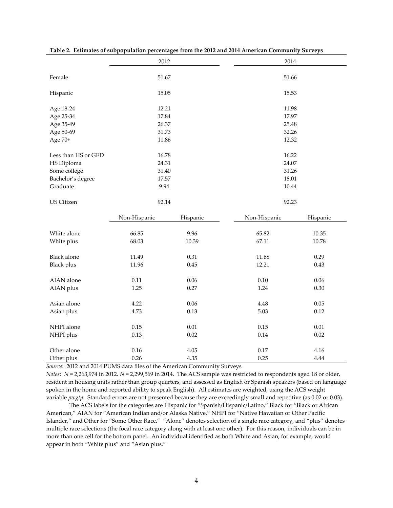|                                         | 2012             |               | 2014           |                |  |
|-----------------------------------------|------------------|---------------|----------------|----------------|--|
| Female                                  | 51.67            |               | 51.66          |                |  |
| Hispanic                                | 15.05            |               | 15.53          |                |  |
| Age 18-24                               | 12.21            |               | 11.98          |                |  |
| Age 25-34                               | 17.84            |               | 17.97          |                |  |
| Age 35-49                               | 26.37            |               | 25.48          |                |  |
| Age 50-69                               | 31.73            |               | 32.26          |                |  |
| Age 70+                                 | 11.86            |               | 12.32          |                |  |
| Less than HS or GED                     | 16.78            |               | 16.22          |                |  |
| HS Diploma                              | 24.31            |               | 24.07          |                |  |
| Some college                            | 31.40            |               | 31.26          |                |  |
| Bachelor's degree                       | 17.57            |               | 18.01          |                |  |
| Graduate                                | 9.94             |               | 10.44          |                |  |
| <b>US Citizen</b>                       | 92.14            |               | 92.23          |                |  |
|                                         |                  |               |                |                |  |
|                                         | Non-Hispanic     | Hispanic      | Non-Hispanic   | Hispanic       |  |
|                                         |                  |               |                |                |  |
| White alone<br>White plus               | 66.85<br>68.03   | 9.96<br>10.39 | 65.82<br>67.11 | 10.35<br>10.78 |  |
|                                         |                  |               |                |                |  |
| <b>Black alone</b><br><b>Black plus</b> | 11.49<br>11.96   | 0.31<br>0.45  | 11.68<br>12.21 | 0.29<br>0.43   |  |
|                                         |                  |               |                |                |  |
| AIAN alone<br>AIAN plus                 | $0.11\,$<br>1.25 | 0.06<br>0.27  | 0.10<br>1.24   | 0.06<br>0.30   |  |
|                                         |                  |               |                |                |  |
| Asian alone                             | 4.22             | 0.06          | 4.48           | 0.05           |  |
| Asian plus                              | 4.73             | 0.13          | 5.03           | 0.12           |  |
| NHPI alone                              | 0.15             | $0.01\,$      | 0.15           | 0.01           |  |
| NHPI plus                               | 0.13             | 0.02          | 0.14           | 0.02           |  |
| Other alone                             | 0.16             | 4.05          | $0.17\,$       | 4.16           |  |

|  |  |  |  |  |  |  | Table 2. Estimates of subpopulation percentages from the 2012 and 2014 American Community Surveys |
|--|--|--|--|--|--|--|---------------------------------------------------------------------------------------------------|
|--|--|--|--|--|--|--|---------------------------------------------------------------------------------------------------|

*Source*: 2012 and 2014 PUMS data files of the American Community Surveys

*Notes*: *N* = 2,263,974 in 2012. *N* = 2,299,569 in 2014. The ACS sample was restricted to respondents aged 18 or older, resident in housing units rather than group quarters, and assessed as English or Spanish speakers (based on language spoken in the home and reported ability to speak English). All estimates are weighted, using the ACS weight variable *pwgtp*. Standard errors are not presented because they are exceedingly small and repetitive (as 0.02 or 0.03).

The ACS labels for the categories are Hispanic for "Spanish/Hispanic/Latino," Black for "Black or African American," AIAN for "American Indian and/or Alaska Native," NHPI for "Native Hawaiian or Other Pacific Islander," and Other for "Some Other Race." "Alone" denotes selection of a single race category, and "plus" denotes multiple race selections (the focal race category along with at least one other). For this reason, individuals can be in more than one cell for the bottom panel. An individual identified as both White and Asian, for example, would appear in both "White plus" and "Asian plus."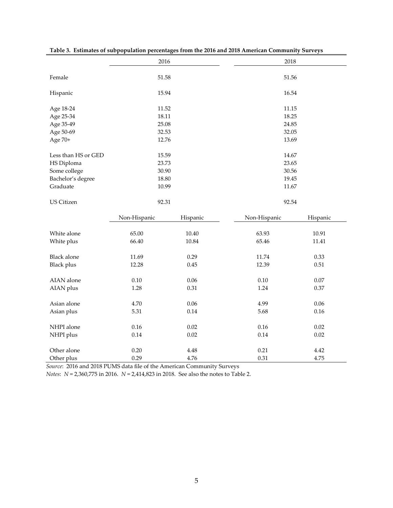|                        | 2016           |          | 2018           |          |  |
|------------------------|----------------|----------|----------------|----------|--|
|                        |                |          |                |          |  |
| Female                 | 51.58          |          | 51.56          |          |  |
| Hispanic               | 15.94          |          | 16.54          |          |  |
|                        |                |          |                |          |  |
| Age 18-24              | 11.52          |          | 11.15          |          |  |
| Age 25-34              | 18.11<br>25.08 |          | 18.25<br>24.85 |          |  |
| Age 35-49<br>Age 50-69 | 32.53          |          | 32.05          |          |  |
| Age 70+                | 12.76          |          | 13.69          |          |  |
|                        |                |          |                |          |  |
| Less than HS or GED    | 15.59          |          | 14.67          |          |  |
| HS Diploma             | 23.73          |          | 23.65          |          |  |
| Some college           | 30.90          |          | 30.56          |          |  |
| Bachelor's degree      | 18.80          |          | 19.45          |          |  |
| Graduate               | 10.99          |          | 11.67          |          |  |
| US Citizen             | 92.31          |          | 92.54          |          |  |
|                        | Non-Hispanic   | Hispanic | Non-Hispanic   | Hispanic |  |
| White alone            | 65.00          | 10.40    | 63.93          | 10.91    |  |
| White plus             | 66.40          | 10.84    | 65.46          | 11.41    |  |
|                        |                |          |                |          |  |
| <b>Black</b> alone     | 11.69          | 0.29     | 11.74          | 0.33     |  |
| <b>Black</b> plus      | 12.28          | 0.45     | 12.39          | 0.51     |  |
| AIAN alone             | 0.10           | 0.06     | 0.10           | 0.07     |  |
| AIAN plus              | 1.28           | 0.31     | 1.24           | 0.37     |  |
| Asian alone            | 4.70           | 0.06     | 4.99           | 0.06     |  |
| Asian plus             | 5.31           | $0.14\,$ | 5.68           | $0.16\,$ |  |
|                        |                |          |                |          |  |
| NHPI alone             | $0.16\,$       | 0.02     | 0.16           | 0.02     |  |
| NHPI plus              | 0.14           | 0.02     | 0.14           | 0.02     |  |
|                        |                |          |                |          |  |
| Other alone            | 0.20           | 4.48     | 0.21           | 4.42     |  |
| Other plus             | 0.29           | 4.76     | 0.31           | 4.75     |  |

|  |  | Table 3. Estimates of subpopulation percentages from the 2016 and 2018 American Community Surveys |  |
|--|--|---------------------------------------------------------------------------------------------------|--|
|  |  |                                                                                                   |  |

*Source*: 2016 and 2018 PUMS data file of the American Community Surveys

*Notes*: *N* = 2,360,775 in 2016. *N* = 2,414,823 in 2018. See also the notes to Table 2.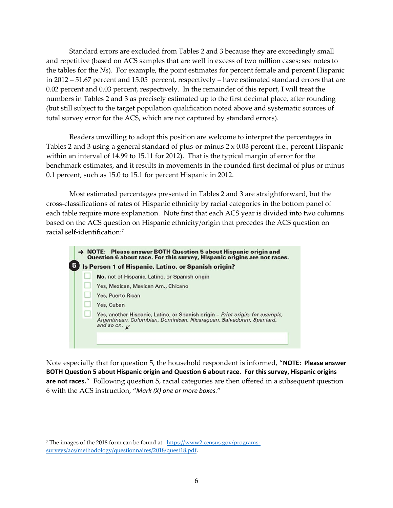Standard errors are excluded from Tables 2 and 3 because they are exceedingly small and repetitive (based on ACS samples that are well in excess of two million cases; see notes to the tables for the *N*s). For example, the point estimates for percent female and percent Hispanic in 2012 – 51.67 percent and 15.05 percent, respectively – have estimated standard errors that are 0.02 percent and 0.03 percent, respectively. In the remainder of this report, I will treat the numbers in Tables 2 and 3 as precisely estimated up to the first decimal place, after rounding (but still subject to the target population qualification noted above and systematic sources of total survey error for the ACS, which are not captured by standard errors).

Readers unwilling to adopt this position are welcome to interpret the percentages in Tables 2 and 3 using a general standard of plus-or-minus 2 x 0.03 percent (i.e., percent Hispanic within an interval of 14.99 to 15.11 for 2012). That is the typical margin of error for the benchmark estimates, and it results in movements in the rounded first decimal of plus or minus 0.1 percent, such as 15.0 to 15.1 for percent Hispanic in 2012.

Most estimated percentages presented in Tables 2 and 3 are straightforward, but the cross-classifications of rates of Hispanic ethnicity by racial categories in the bottom panel of each table require more explanation. Note first that each ACS year is divided into two columns based on the ACS question on Hispanic ethnicity/origin that precedes the ACS question on racial self-identification: 7



Note especially that for question 5, the household respondent is informed, "**NOTE: Please answer BOTH Question 5 about Hispanic origin and Question 6 about race. For this survey, Hispanic origins are not races.**" Following question 5, racial categories are then offered in a subsequent question 6 with the ACS instruction, "*Mark (X) one or more boxes.*"

<sup>&</sup>lt;sup>7</sup> The images of the 2018 form can be found at: [https://www2.census.gov/programs](https://www2.census.gov/programs-surveys/acs/methodology/questionnaires/2018/quest18.pdf)[surveys/acs/methodology/questionnaires/2018/quest18.pdf.](https://www2.census.gov/programs-surveys/acs/methodology/questionnaires/2018/quest18.pdf)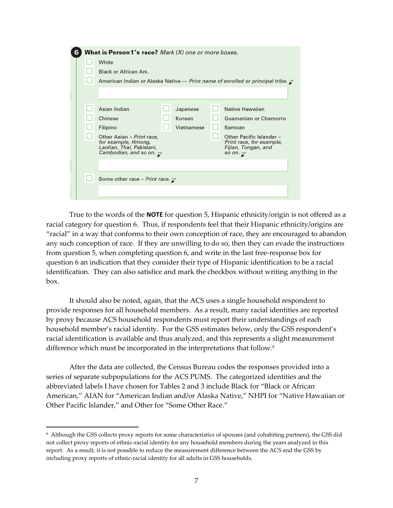|  | <b>What is Person 1's race?</b> Mark $(X)$ one or more boxes.                                                    |            |                                                                                                      |
|--|------------------------------------------------------------------------------------------------------------------|------------|------------------------------------------------------------------------------------------------------|
|  | White                                                                                                            |            |                                                                                                      |
|  | Black or African Am.                                                                                             |            |                                                                                                      |
|  |                                                                                                                  |            | American Indian or Alaska Native — Print name of enrolled or principal tribe. $\bar{\chi}$           |
|  |                                                                                                                  |            |                                                                                                      |
|  | Asian Indian                                                                                                     | Japanese   | Native Hawaiian                                                                                      |
|  | Chinese                                                                                                          | Korean     | Guamanian or Chamorro                                                                                |
|  | Filipino                                                                                                         | Vietnamese | Samoan                                                                                               |
|  | Other Asian - Print race,<br>for example, Hmong,<br>Laotian, Thai, Pakistani,<br>Cambodian, and so on. $\bar{x}$ |            | Other Pacific Islander -<br>Print race, for example,<br>Fijian, Tongan, and<br>so on. $\overline{K}$ |
|  |                                                                                                                  |            |                                                                                                      |
|  | Some other race – Print race. $\overline{\mathcal{L}}$                                                           |            |                                                                                                      |
|  |                                                                                                                  |            |                                                                                                      |

True to the words of the **NOTE** for question 5, Hispanic ethnicity/origin is not offered as a racial category for question 6. Thus, if respondents feel that their Hispanic ethnicity/origins are "racial" in a way that conforms to their own conception of race, they are encouraged to abandon any such conception of race. If they are unwilling to do so, then they can evade the instructions from question 5, when completing question 6, and write in the last free-response box for question 6 an indication that they consider their type of Hispanic identification to be a racial identification. They can also satisfice and mark the checkbox without writing anything in the box.

It should also be noted, again, that the ACS uses a single household respondent to provide responses for all household members. As a result, many racial identities are reported by proxy because ACS household respondents must report their understandings of each household member's racial identity. For the GSS estimates below, only the GSS respondent's racial identification is available and thus analyzed, and this represents a slight measurement difference which must be incorporated in the interpretations that follow. 8

After the data are collected, the Census Bureau codes the responses provided into a series of separate subpopulations for the ACS PUMS. The categorized identities and the abbreviated labels I have chosen for Tables 2 and 3 include Black for "Black or African American," AIAN for "American Indian and/or Alaska Native," NHPI for "Native Hawaiian or Other Pacific Islander," and Other for "Some Other Race."

<sup>8</sup> Although the GSS collects proxy reports for some characteristics of spouses (and cohabiting partners), the GSS did not collect proxy reports of ethnic-racial identity for any household members during the years analyzed in this report. As a result, it is not possible to reduce the measurement difference between the ACS and the GSS by including proxy reports of ethnic-racial identity for all adults in GSS households.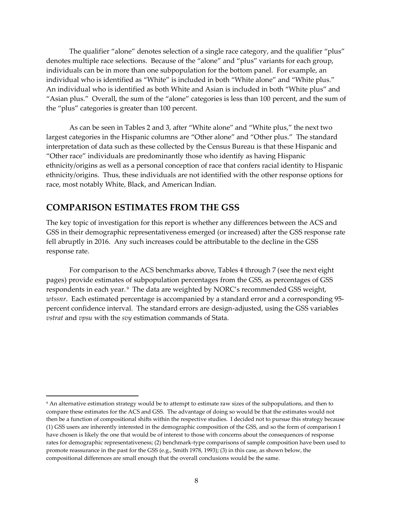The qualifier "alone" denotes selection of a single race category, and the qualifier "plus" denotes multiple race selections. Because of the "alone" and "plus" variants for each group, individuals can be in more than one subpopulation for the bottom panel. For example, an individual who is identified as "White" is included in both "White alone" and "White plus." An individual who is identified as both White and Asian is included in both "White plus" and "Asian plus." Overall, the sum of the "alone" categories is less than 100 percent, and the sum of the "plus" categories is greater than 100 percent.

As can be seen in Tables 2 and 3, after "White alone" and "White plus," the next two largest categories in the Hispanic columns are "Other alone" and "Other plus." The standard interpretation of data such as these collected by the Census Bureau is that these Hispanic and "Other race" individuals are predominantly those who identify as having Hispanic ethnicity/origins as well as a personal conception of race that confers racial identity to Hispanic ethnicity/origins. Thus, these individuals are not identified with the other response options for race, most notably White, Black, and American Indian.

## **COMPARISON ESTIMATES FROM THE GSS**

The key topic of investigation for this report is whether any differences between the ACS and GSS in their demographic representativeness emerged (or increased) after the GSS response rate fell abruptly in 2016. Any such increases could be attributable to the decline in the GSS response rate.

For comparison to the ACS benchmarks above, Tables 4 through 7 (see the next eight pages) provide estimates of subpopulation percentages from the GSS, as percentages of GSS respondents in each year. <sup>9</sup> The data are weighted by NORC's recommended GSS weight, *wtssnr*. Each estimated percentage is accompanied by a standard error and a corresponding 95 percent confidence interval. The standard errors are design-adjusted, using the GSS variables *vstrat* and *vpsu* with the *svy* estimation commands of Stata.

<sup>9</sup> An alternative estimation strategy would be to attempt to estimate raw sizes of the subpopulations, and then to compare these estimates for the ACS and GSS. The advantage of doing so would be that the estimates would not then be a function of compositional shifts within the respective studies. I decided not to pursue this strategy because (1) GSS users are inherently interested in the demographic composition of the GSS, and so the form of comparison I have chosen is likely the one that would be of interest to those with concerns about the consequences of response rates for demographic representativeness; (2) benchmark-type comparisons of sample composition have been used to promote reassurance in the past for the GSS (e.g., Smith 1978, 1993); (3) in this case, as shown below, the compositional differences are small enough that the overall conclusions would be the same.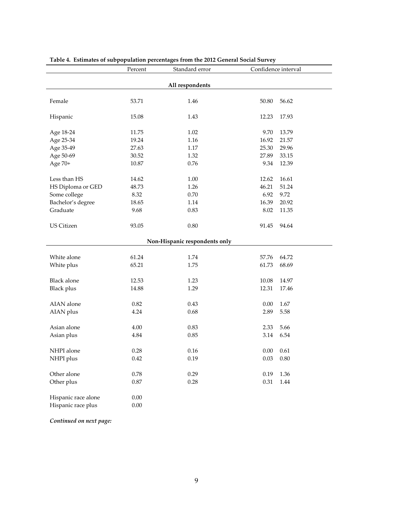|                     | Percent  | Standard error                |       | Confidence interval |  |  |  |  |
|---------------------|----------|-------------------------------|-------|---------------------|--|--|--|--|
| All respondents     |          |                               |       |                     |  |  |  |  |
| Female              | 53.71    | 1.46                          | 50.80 | 56.62               |  |  |  |  |
| Hispanic            | 15.08    | 1.43                          | 12.23 | 17.93               |  |  |  |  |
| Age 18-24           | 11.75    | 1.02                          | 9.70  | 13.79               |  |  |  |  |
| Age 25-34           | 19.24    | 1.16                          | 16.92 | 21.57               |  |  |  |  |
| Age 35-49           | 27.63    | 1.17                          | 25.30 | 29.96               |  |  |  |  |
| Age 50-69           | 30.52    | 1.32                          | 27.89 | 33.15               |  |  |  |  |
| Age 70+             | 10.87    | 0.76                          | 9.34  | 12.39               |  |  |  |  |
| Less than HS        | 14.62    | 1.00                          | 12.62 | 16.61               |  |  |  |  |
| HS Diploma or GED   | 48.73    | 1.26                          | 46.21 | 51.24               |  |  |  |  |
| Some college        | 8.32     | 0.70                          | 6.92  | 9.72                |  |  |  |  |
| Bachelor's degree   | 18.65    | 1.14                          | 16.39 | 20.92               |  |  |  |  |
| Graduate            | 9.68     | 0.83                          | 8.02  | 11.35               |  |  |  |  |
| <b>US Citizen</b>   | 93.05    | 0.80                          | 91.45 | 94.64               |  |  |  |  |
|                     |          | Non-Hispanic respondents only |       |                     |  |  |  |  |
| White alone         | 61.24    | 1.74                          | 57.76 | 64.72               |  |  |  |  |
|                     | 65.21    | 1.75                          | 61.73 | 68.69               |  |  |  |  |
| White plus          |          |                               |       |                     |  |  |  |  |
| <b>Black</b> alone  | 12.53    | 1.23                          | 10.08 | 14.97               |  |  |  |  |
| <b>Black plus</b>   | 14.88    | 1.29                          | 12.31 | 17.46               |  |  |  |  |
| AIAN alone          | 0.82     | 0.43                          | 0.00  | 1.67                |  |  |  |  |
| AIAN plus           | 4.24     | 0.68                          | 2.89  | 5.58                |  |  |  |  |
| Asian alone         | 4.00     | 0.83                          | 2.33  | 5.66                |  |  |  |  |
| Asian plus          | 4.84     | 0.85                          | 3.14  | 6.54                |  |  |  |  |
| NHPI alone          | 0.28     | $0.16\,$                      | 0.00  | 0.61                |  |  |  |  |
| NHPI plus           | 0.42     | 0.19                          | 0.03  | 0.80                |  |  |  |  |
|                     |          |                               |       |                     |  |  |  |  |
| Other alone         | $0.78\,$ | 0.29                          | 0.19  | 1.36                |  |  |  |  |
| Other plus          | $0.87\,$ | 0.28                          | 0.31  | 1.44                |  |  |  |  |
| Hispanic race alone | $0.00\,$ |                               |       |                     |  |  |  |  |
| Hispanic race plus  | $0.00\,$ |                               |       |                     |  |  |  |  |

#### **Table 4. Estimates of subpopulation percentages from the 2012 General Social Survey**

*Continued on next page:*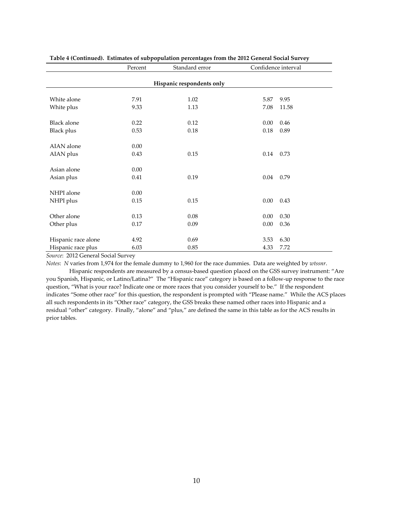|                     | Percent | Standard error            | Confidence interval |  |
|---------------------|---------|---------------------------|---------------------|--|
|                     |         |                           |                     |  |
|                     |         | Hispanic respondents only |                     |  |
|                     |         |                           |                     |  |
| White alone         | 7.91    | 1.02                      | 9.95<br>5.87        |  |
| White plus          | 9.33    | 1.13                      | 7.08<br>11.58       |  |
| Black alone         | 0.22    | 0.12                      | 0.46<br>0.00        |  |
| <b>Black plus</b>   | 0.53    | $0.18\,$                  | 0.89<br>0.18        |  |
| AIAN alone          | 0.00    |                           |                     |  |
| AIAN plus           | 0.43    | 0.15                      | 0.14<br>0.73        |  |
|                     |         |                           |                     |  |
| Asian alone         | 0.00    |                           |                     |  |
| Asian plus          | 0.41    | 0.19                      | 0.79<br>0.04        |  |
| NHPI alone          | 0.00    |                           |                     |  |
| NHPI plus           | 0.15    | 0.15                      | 0.00<br>0.43        |  |
|                     |         |                           |                     |  |
| Other alone         | 0.13    | 0.08                      | 0.30<br>0.00        |  |
| Other plus          | 0.17    | 0.09                      | 0.36<br>0.00        |  |
| Hispanic race alone | 4.92    | 0.69                      | 6.30<br>3.53        |  |
| Hispanic race plus  | 6.03    | 0.85                      | 7.72<br>4.33        |  |

**Table 4 (Continued). Estimates of subpopulation percentages from the 2012 General Social Survey**

*Source*: 2012 General Social Survey

*Notes*: *N* varies from 1,974 for the female dummy to 1,960 for the race dummies. Data are weighted by *wtssnr*.

Hispanic respondents are measured by a census-based question placed on the GSS survey instrument: "Are you Spanish, Hispanic, or Latino/Latina?" The "Hispanic race" category is based on a follow-up response to the race question, "What is your race? Indicate one or more races that you consider yourself to be." If the respondent indicates "Some other race" for this question, the respondent is prompted with "Please name." While the ACS places all such respondents in its "Other race" category, the GSS breaks these named other races into Hispanic and a residual "other" category. Finally, "alone" and "plus," are defined the same in this table as for the ACS results in prior tables.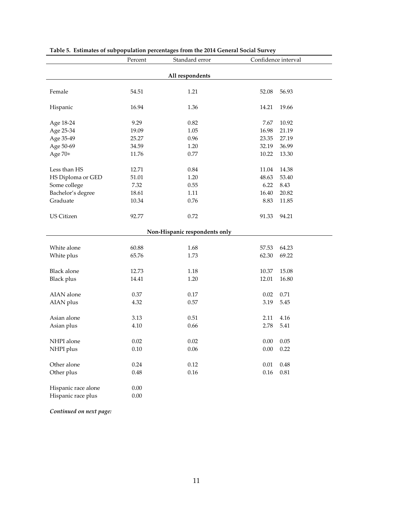|                     | Percent  | Standard error                |          | Confidence interval |  |  |  |  |  |
|---------------------|----------|-------------------------------|----------|---------------------|--|--|--|--|--|
| All respondents     |          |                               |          |                     |  |  |  |  |  |
|                     |          |                               |          |                     |  |  |  |  |  |
| Female              | 54.51    | 1.21                          | 52.08    | 56.93               |  |  |  |  |  |
| Hispanic            | 16.94    | 1.36                          | 14.21    | 19.66               |  |  |  |  |  |
| Age 18-24           | 9.29     | 0.82                          | 7.67     | 10.92               |  |  |  |  |  |
| Age 25-34           | 19.09    | 1.05                          | 16.98    | 21.19               |  |  |  |  |  |
| Age 35-49           | 25.27    | 0.96                          | 23.35    | 27.19               |  |  |  |  |  |
| Age 50-69           | 34.59    | 1.20                          | 32.19    | 36.99               |  |  |  |  |  |
| Age 70+             | 11.76    | 0.77                          | 10.22    | 13.30               |  |  |  |  |  |
| Less than HS        | 12.71    | 0.84                          | 11.04    | 14.38               |  |  |  |  |  |
| HS Diploma or GED   | 51.01    | 1.20                          | 48.63    | 53.40               |  |  |  |  |  |
| Some college        | 7.32     | 0.55                          | 6.22     | 8.43                |  |  |  |  |  |
| Bachelor's degree   | 18.61    | 1.11                          | 16.40    | 20.82               |  |  |  |  |  |
| Graduate            | 10.34    | 0.76                          | 8.83     | 11.85               |  |  |  |  |  |
|                     |          |                               |          |                     |  |  |  |  |  |
| <b>US Citizen</b>   | 92.77    | 0.72                          | 91.33    | 94.21               |  |  |  |  |  |
|                     |          | Non-Hispanic respondents only |          |                     |  |  |  |  |  |
| White alone         | 60.88    | 1.68                          | 57.53    | 64.23               |  |  |  |  |  |
|                     | 65.76    | 1.73                          | 62.30    | 69.22               |  |  |  |  |  |
| White plus          |          |                               |          |                     |  |  |  |  |  |
| <b>Black</b> alone  | 12.73    | 1.18                          | 10.37    | 15.08               |  |  |  |  |  |
| <b>Black plus</b>   | 14.41    | 1.20                          | 12.01    | 16.80               |  |  |  |  |  |
| AIAN alone          | 0.37     | 0.17                          | 0.02     | 0.71                |  |  |  |  |  |
| AIAN plus           | 4.32     | 0.57                          | 3.19     | 5.45                |  |  |  |  |  |
|                     |          |                               |          |                     |  |  |  |  |  |
| Asian alone         | 3.13     | 0.51                          | 2.11     | 4.16                |  |  |  |  |  |
| Asian plus          | 4.10     | 0.66                          | 2.78     | 5.41                |  |  |  |  |  |
| NHPI alone          | 0.02     | 0.02                          | 0.00     | 0.05                |  |  |  |  |  |
| NHPI plus           | 0.10     | $0.06\,$                      | $0.00\,$ | 0.22                |  |  |  |  |  |
|                     |          |                               |          |                     |  |  |  |  |  |
| Other alone         | 0.24     | 0.12                          | 0.01     | 0.48                |  |  |  |  |  |
| Other plus          | $0.48\,$ | $0.16\,$                      | $0.16\,$ | $\rm 0.81$          |  |  |  |  |  |
| Hispanic race alone | 0.00     |                               |          |                     |  |  |  |  |  |
| Hispanic race plus  | $0.00\,$ |                               |          |                     |  |  |  |  |  |
|                     |          |                               |          |                     |  |  |  |  |  |

#### **Table 5. Estimates of subpopulation percentages from the 2014 General Social Survey**

*Continued on next page:*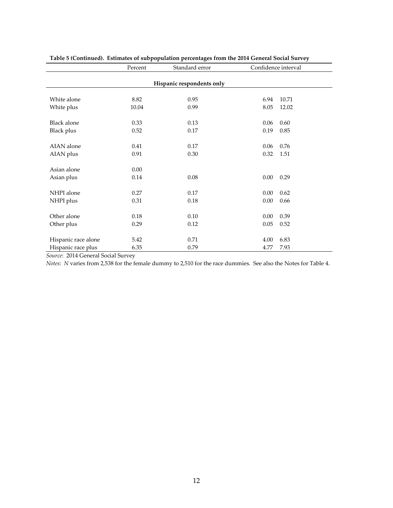|                     | Percent | Standard error            | Confidence interval |  |  |
|---------------------|---------|---------------------------|---------------------|--|--|
|                     |         |                           |                     |  |  |
|                     |         | Hispanic respondents only |                     |  |  |
|                     |         |                           |                     |  |  |
| White alone         | 8.82    | 0.95                      | 10.71<br>6.94       |  |  |
| White plus          | 10.04   | 0.99                      | 12.02<br>8.05       |  |  |
|                     |         |                           |                     |  |  |
| <b>Black alone</b>  | 0.33    | 0.13                      | 0.60<br>0.06        |  |  |
| <b>Black plus</b>   | 0.52    | 0.17                      | 0.85<br>0.19        |  |  |
|                     |         |                           |                     |  |  |
| AIAN alone          | 0.41    | 0.17                      | 0.76<br>0.06        |  |  |
| AIAN plus           | 0.91    | 0.30                      | 0.32<br>1.51        |  |  |
|                     |         |                           |                     |  |  |
| Asian alone         | 0.00    |                           |                     |  |  |
| Asian plus          | 0.14    | 0.08                      | 0.29<br>0.00        |  |  |
|                     |         |                           |                     |  |  |
| NHPI alone          | 0.27    | 0.17                      | 0.62<br>0.00        |  |  |
| NHPI plus           | 0.31    | 0.18                      | 0.00<br>0.66        |  |  |
|                     |         |                           |                     |  |  |
| Other alone         | 0.18    | 0.10                      | 0.00<br>0.39        |  |  |
| Other plus          | 0.29    | 0.12                      | 0.05<br>0.52        |  |  |
|                     |         |                           |                     |  |  |
| Hispanic race alone | 5.42    | 0.71                      | 6.83<br>4.00        |  |  |
| Hispanic race plus  | 6.35    | 0.79                      | 7.93<br>4.77        |  |  |

|  | Table 5 (Continued). Estimates of subpopulation percentages from the 2014 General Social Survey |  |
|--|-------------------------------------------------------------------------------------------------|--|
|  |                                                                                                 |  |

*Source*: 2014 General Social Survey

*Notes*: *N* varies from 2,538 for the female dummy to 2,510 for the race dummies. See also the Notes for Table 4.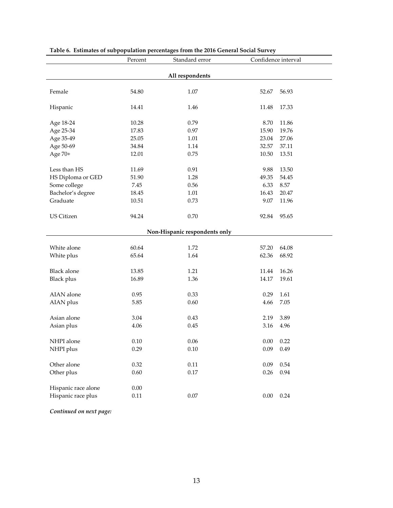|                     | Percent  | Standard error                |       | Confidence interval |  |  |  |  |  |
|---------------------|----------|-------------------------------|-------|---------------------|--|--|--|--|--|
| All respondents     |          |                               |       |                     |  |  |  |  |  |
|                     |          |                               |       |                     |  |  |  |  |  |
| Female              | 54.80    | 1.07                          | 52.67 | 56.93               |  |  |  |  |  |
| Hispanic            | 14.41    | 1.46                          | 11.48 | 17.33               |  |  |  |  |  |
| Age 18-24           | 10.28    | 0.79                          | 8.70  | 11.86               |  |  |  |  |  |
| Age 25-34           | 17.83    | 0.97                          | 15.90 | 19.76               |  |  |  |  |  |
| Age 35-49           | 25.05    | 1.01                          | 23.04 | 27.06               |  |  |  |  |  |
| Age 50-69           | 34.84    | 1.14                          | 32.57 | 37.11               |  |  |  |  |  |
| Age 70+             | 12.01    | 0.75                          | 10.50 | 13.51               |  |  |  |  |  |
| Less than HS        | 11.69    | 0.91                          | 9.88  | 13.50               |  |  |  |  |  |
| HS Diploma or GED   | 51.90    | 1.28                          | 49.35 | 54.45               |  |  |  |  |  |
| Some college        | 7.45     | 0.56                          | 6.33  | 8.57                |  |  |  |  |  |
| Bachelor's degree   | 18.45    | 1.01                          | 16.43 | 20.47               |  |  |  |  |  |
| Graduate            | 10.51    | 0.73                          | 9.07  | 11.96               |  |  |  |  |  |
|                     |          |                               |       |                     |  |  |  |  |  |
| US Citizen          | 94.24    | 0.70                          | 92.84 | 95.65               |  |  |  |  |  |
|                     |          | Non-Hispanic respondents only |       |                     |  |  |  |  |  |
|                     |          |                               |       |                     |  |  |  |  |  |
| White alone         | 60.64    | 1.72                          | 57.20 | 64.08               |  |  |  |  |  |
| White plus          | 65.64    | 1.64                          | 62.36 | 68.92               |  |  |  |  |  |
|                     |          |                               |       |                     |  |  |  |  |  |
| <b>Black</b> alone  | 13.85    | 1.21                          | 11.44 | 16.26               |  |  |  |  |  |
| <b>Black plus</b>   | 16.89    | 1.36                          | 14.17 | 19.61               |  |  |  |  |  |
|                     |          |                               |       |                     |  |  |  |  |  |
| AIAN alone          | 0.95     | 0.33                          | 0.29  | 1.61                |  |  |  |  |  |
| AIAN plus           | 5.85     | 0.60                          | 4.66  | 7.05                |  |  |  |  |  |
| Asian alone         | 3.04     | 0.43                          | 2.19  | 3.89                |  |  |  |  |  |
| Asian plus          | 4.06     | 0.45                          | 3.16  | 4.96                |  |  |  |  |  |
|                     |          |                               |       |                     |  |  |  |  |  |
| NHPI alone          | 0.10     | 0.06                          | 0.00  | 0.22                |  |  |  |  |  |
| NHPI plus           | 0.29     | 0.10                          | 0.09  | 0.49                |  |  |  |  |  |
|                     |          |                               |       |                     |  |  |  |  |  |
| Other alone         | 0.32     | 0.11                          | 0.09  | 0.54                |  |  |  |  |  |
| Other plus          | 0.60     | $0.17\,$                      | 0.26  | 0.94                |  |  |  |  |  |
|                     |          |                               |       |                     |  |  |  |  |  |
| Hispanic race alone | $0.00\,$ |                               |       |                     |  |  |  |  |  |
| Hispanic race plus  | $0.11\,$ | $0.07\,$                      | 0.00  | 0.24                |  |  |  |  |  |
|                     |          |                               |       |                     |  |  |  |  |  |

### **Table 6. Estimates of subpopulation percentages from the 2016 General Social Survey**

*Continued on next page:*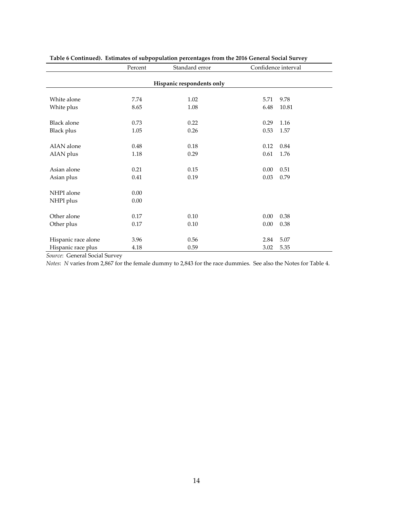|                     | Percent | Standard error            | Confidence interval |  |  |  |  |
|---------------------|---------|---------------------------|---------------------|--|--|--|--|
|                     |         | Hispanic respondents only |                     |  |  |  |  |
|                     |         |                           |                     |  |  |  |  |
| White alone         | 7.74    | 1.02                      | 5.71<br>9.78        |  |  |  |  |
| White plus          | 8.65    | 1.08                      | 10.81<br>6.48       |  |  |  |  |
| Black alone         | 0.73    | 0.22                      | 0.29<br>1.16        |  |  |  |  |
| <b>Black plus</b>   | 1.05    | 0.26                      | 0.53<br>1.57        |  |  |  |  |
| AIAN alone          | 0.48    | 0.18                      | 0.84<br>0.12        |  |  |  |  |
| AIAN plus           | 1.18    | 0.29                      | 0.61<br>1.76        |  |  |  |  |
| Asian alone         | 0.21    | 0.15                      | 0.51<br>0.00        |  |  |  |  |
| Asian plus          | 0.41    | 0.19                      | 0.79<br>0.03        |  |  |  |  |
| NHPI alone          | 0.00    |                           |                     |  |  |  |  |
| NHPI plus           | 0.00    |                           |                     |  |  |  |  |
| Other alone         | 0.17    | 0.10                      | 0.00<br>0.38        |  |  |  |  |
| Other plus          | 0.17    | 0.10                      | 0.38<br>0.00        |  |  |  |  |
| Hispanic race alone | 3.96    | 0.56                      | 5.07<br>2.84        |  |  |  |  |
| Hispanic race plus  | 4.18    | 0.59                      | 5.35<br>3.02        |  |  |  |  |

**Table 6 Continued). Estimates of subpopulation percentages from the 2016 General Social Survey**

*Source*: General Social Survey

*Notes*: *N* varies from 2,867 for the female dummy to 2,843 for the race dummies. See also the Notes for Table 4.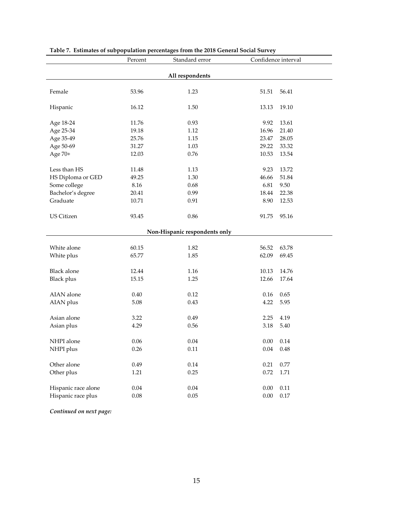|                               | Percent  | Standard error | Confidence interval |          |  |  |  |  |
|-------------------------------|----------|----------------|---------------------|----------|--|--|--|--|
| All respondents               |          |                |                     |          |  |  |  |  |
|                               |          |                |                     |          |  |  |  |  |
| Female                        | 53.96    | 1.23           | 51.51               | 56.41    |  |  |  |  |
| Hispanic                      | 16.12    | 1.50           | 13.13               | 19.10    |  |  |  |  |
| Age 18-24                     | 11.76    | 0.93           | 9.92                | 13.61    |  |  |  |  |
| Age 25-34                     | 19.18    | 1.12           | 16.96               | 21.40    |  |  |  |  |
| Age 35-49                     | 25.76    | 1.15           | 23.47               | 28.05    |  |  |  |  |
| Age 50-69                     | 31.27    | 1.03           | 29.22               | 33.32    |  |  |  |  |
| Age 70+                       | 12.03    | 0.76           | 10.53               | 13.54    |  |  |  |  |
| Less than HS                  | 11.48    | 1.13           | 9.23                | 13.72    |  |  |  |  |
| HS Diploma or GED             | 49.25    | 1.30           | 46.66               | 51.84    |  |  |  |  |
| Some college                  | 8.16     | 0.68           | 6.81                | 9.50     |  |  |  |  |
| Bachelor's degree             | 20.41    | 0.99           | 18.44               | 22.38    |  |  |  |  |
| Graduate                      | 10.71    | 0.91           | 8.90                | 12.53    |  |  |  |  |
| <b>US Citizen</b>             | 93.45    | 0.86           | 91.75               | 95.16    |  |  |  |  |
| Non-Hispanic respondents only |          |                |                     |          |  |  |  |  |
|                               |          |                |                     |          |  |  |  |  |
| White alone                   | 60.15    | 1.82           | 56.52               | 63.78    |  |  |  |  |
| White plus                    | 65.77    | 1.85           | 62.09               | 69.45    |  |  |  |  |
| <b>Black</b> alone            | 12.44    | 1.16           | 10.13               | 14.76    |  |  |  |  |
| <b>Black plus</b>             | 15.15    | 1.25           | 12.66               | 17.64    |  |  |  |  |
| AIAN alone                    | 0.40     | 0.12           | 0.16                | 0.65     |  |  |  |  |
| AIAN plus                     | 5.08     | 0.43           | 4.22                | 5.95     |  |  |  |  |
| Asian alone                   | 3.22     | 0.49           | 2.25                | 4.19     |  |  |  |  |
| Asian plus                    | 4.29     | 0.56           | 3.18                | 5.40     |  |  |  |  |
| NHPI alone                    | 0.06     | 0.04           | 0.00                | 0.14     |  |  |  |  |
| NHPI plus                     | 0.26     | $0.11\,$       | 0.04                | 0.48     |  |  |  |  |
| Other alone                   | 0.49     | $0.14\,$       | 0.21                | 0.77     |  |  |  |  |
| Other plus                    | 1.21     | 0.25           | 0.72                | 1.71     |  |  |  |  |
|                               |          |                |                     |          |  |  |  |  |
| Hispanic race alone           | $0.04\,$ | $0.04\,$       | 0.00                | 0.11     |  |  |  |  |
| Hispanic race plus            | $0.08\,$ | $0.05\,$       | 0.00                | $0.17\,$ |  |  |  |  |

### **Table 7. Estimates of subpopulation percentages from the 2018 General Social Survey**

*Continued on next page:*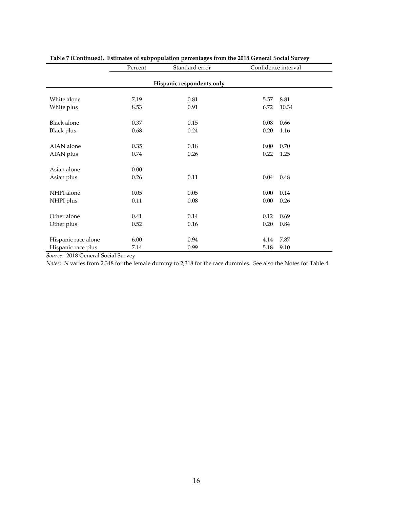|      |                                                                 | Confidence interval                                                                 |                                              |  |  |  |  |  |
|------|-----------------------------------------------------------------|-------------------------------------------------------------------------------------|----------------------------------------------|--|--|--|--|--|
|      |                                                                 |                                                                                     |                                              |  |  |  |  |  |
|      |                                                                 |                                                                                     |                                              |  |  |  |  |  |
|      |                                                                 |                                                                                     |                                              |  |  |  |  |  |
| 7.19 | 0.81                                                            | 5.57                                                                                | 8.81                                         |  |  |  |  |  |
|      | 0.91                                                            | 6.72                                                                                | 10.34                                        |  |  |  |  |  |
|      |                                                                 |                                                                                     |                                              |  |  |  |  |  |
| 0.37 | $0.15\,$                                                        | 0.08                                                                                | 0.66                                         |  |  |  |  |  |
|      |                                                                 |                                                                                     | 1.16                                         |  |  |  |  |  |
|      |                                                                 |                                                                                     |                                              |  |  |  |  |  |
| 0.35 | 0.18                                                            | 0.00                                                                                | 0.70                                         |  |  |  |  |  |
|      |                                                                 |                                                                                     | 1.25                                         |  |  |  |  |  |
|      |                                                                 |                                                                                     |                                              |  |  |  |  |  |
| 0.00 |                                                                 |                                                                                     |                                              |  |  |  |  |  |
|      |                                                                 |                                                                                     | 0.48                                         |  |  |  |  |  |
|      |                                                                 |                                                                                     |                                              |  |  |  |  |  |
| 0.05 | 0.05                                                            | 0.00                                                                                | 0.14                                         |  |  |  |  |  |
|      |                                                                 |                                                                                     | 0.26                                         |  |  |  |  |  |
|      |                                                                 |                                                                                     |                                              |  |  |  |  |  |
| 0.41 | 0.14                                                            | 0.12                                                                                | 0.69                                         |  |  |  |  |  |
|      |                                                                 |                                                                                     | 0.84                                         |  |  |  |  |  |
|      |                                                                 |                                                                                     |                                              |  |  |  |  |  |
| 6.00 | 0.94                                                            | 4.14                                                                                | 7.87                                         |  |  |  |  |  |
|      | 0.99                                                            |                                                                                     | 9.10                                         |  |  |  |  |  |
|      | Percent<br>8.53<br>0.68<br>0.74<br>0.26<br>0.11<br>0.52<br>7.14 | Standard error<br>Hispanic respondents only<br>0.24<br>0.26<br>0.11<br>0.08<br>0.16 | 0.20<br>0.22<br>0.04<br>0.00<br>0.20<br>5.18 |  |  |  |  |  |

**Table 7 (Continued). Estimates of subpopulation percentages from the 2018 General Social Survey**

*Source*: 2018 General Social Survey

*Notes*: *N* varies from 2,348 for the female dummy to 2,318 for the race dummies. See also the Notes for Table 4.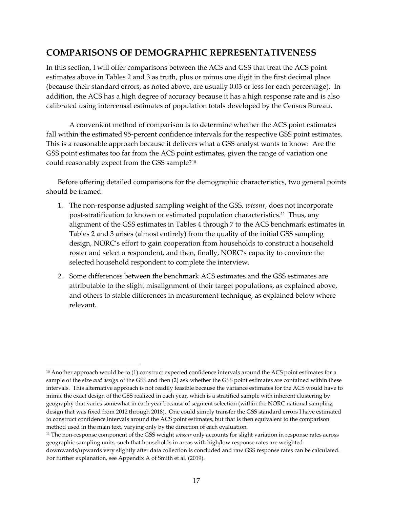## **COMPARISONS OF DEMOGRAPHIC REPRESENTATIVENESS**

In this section, I will offer comparisons between the ACS and GSS that treat the ACS point estimates above in Tables 2 and 3 as truth, plus or minus one digit in the first decimal place (because their standard errors, as noted above, are usually 0.03 or less for each percentage). In addition, the ACS has a high degree of accuracy because it has a high response rate and is also calibrated using intercensal estimates of population totals developed by the Census Bureau.

A convenient method of comparison is to determine whether the ACS point estimates fall within the estimated 95-percent confidence intervals for the respective GSS point estimates. This is a reasonable approach because it delivers what a GSS analyst wants to know: Are the GSS point estimates too far from the ACS point estimates, given the range of variation one could reasonably expect from the GSS sample?<sup>10</sup>

Before offering detailed comparisons for the demographic characteristics, two general points should be framed:

- 1. The non-response adjusted sampling weight of the GSS, *wtssnr*, does not incorporate post-stratification to known or estimated population characteristics.<sup>11</sup> Thus, any alignment of the GSS estimates in Tables 4 through 7 to the ACS benchmark estimates in Tables 2 and 3 arises (almost entirely) from the quality of the initial GSS sampling design, NORC's effort to gain cooperation from households to construct a household roster and select a respondent, and then, finally, NORC's capacity to convince the selected household respondent to complete the interview.
- 2. Some differences between the benchmark ACS estimates and the GSS estimates are attributable to the slight misalignment of their target populations, as explained above, and others to stable differences in measurement technique, as explained below where relevant.

 $10$  Another approach would be to (1) construct expected confidence intervals around the ACS point estimates for a sample of the size *and design* of the GSS and then (2) ask whether the GSS point estimates are contained within these intervals. This alternative approach is not readily feasible because the variance estimates for the ACS would have to mimic the exact design of the GSS realized in each year, which is a stratified sample with inherent clustering by geography that varies somewhat in each year because of segment selection (within the NORC national sampling design that was fixed from 2012 through 2018). One could simply transfer the GSS standard errors I have estimated to construct confidence intervals around the ACS point estimates, but that is then equivalent to the comparison method used in the main text, varying only by the direction of each evaluation.

<sup>11</sup> The non-response component of the GSS weight *wtssnr* only accounts for slight variation in response rates across geographic sampling units, such that households in areas with high/low response rates are weighted downwards/upwards very slightly after data collection is concluded and raw GSS response rates can be calculated. For further explanation, see Appendix A of Smith et al. (2019).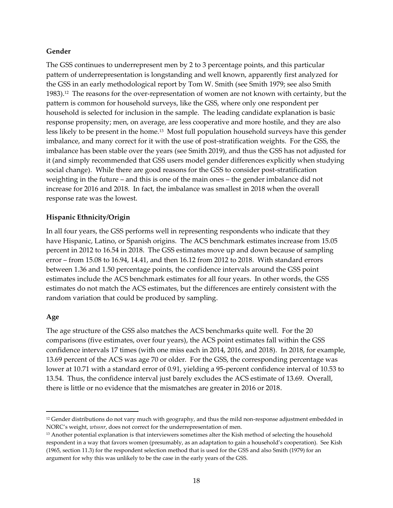#### **Gender**

The GSS continues to underrepresent men by 2 to 3 percentage points, and this particular pattern of underrepresentation is longstanding and well known, apparently first analyzed for the GSS in an early methodological report by Tom W. Smith (see Smith 1979; see also Smith 1983). 12 The reasons for the over-representation of women are not known with certainty, but the pattern is common for household surveys, like the GSS, where only one respondent per household is selected for inclusion in the sample. The leading candidate explanation is basic response propensity; men, on average, are less cooperative and more hostile, and they are also less likely to be present in the home.<sup>13</sup> Most full population household surveys have this gender imbalance, and many correct for it with the use of post-stratification weights. For the GSS, the imbalance has been stable over the years (see Smith 2019), and thus the GSS has not adjusted for it (and simply recommended that GSS users model gender differences explicitly when studying social change). While there are good reasons for the GSS to consider post-stratification weighting in the future – and this is one of the main ones – the gender imbalance did not increase for 2016 and 2018. In fact, the imbalance was smallest in 2018 when the overall response rate was the lowest.

### **Hispanic Ethnicity/Origin**

In all four years, the GSS performs well in representing respondents who indicate that they have Hispanic, Latino, or Spanish origins. The ACS benchmark estimates increase from 15.05 percent in 2012 to 16.54 in 2018. The GSS estimates move up and down because of sampling error – from 15.08 to 16.94, 14.41, and then 16.12 from 2012 to 2018. With standard errors between 1.36 and 1.50 percentage points, the confidence intervals around the GSS point estimates include the ACS benchmark estimates for all four years. In other words, the GSS estimates do not match the ACS estimates, but the differences are entirely consistent with the random variation that could be produced by sampling.

### **Age**

The age structure of the GSS also matches the ACS benchmarks quite well. For the 20 comparisons (five estimates, over four years), the ACS point estimates fall within the GSS confidence intervals 17 times (with one miss each in 2014, 2016, and 2018). In 2018, for example, 13.69 percent of the ACS was age 70 or older. For the GSS, the corresponding percentage was lower at 10.71 with a standard error of 0.91, yielding a 95-percent confidence interval of 10.53 to 13.54. Thus, the confidence interval just barely excludes the ACS estimate of 13.69. Overall, there is little or no evidence that the mismatches are greater in 2016 or 2018.

<sup>&</sup>lt;sup>12</sup> Gender distributions do not vary much with geography, and thus the mild non-response adjustment embedded in NORC's weight, *wtssnr*, does not correct for the underrepresentation of men.

<sup>&</sup>lt;sup>13</sup> Another potential explanation is that interviewers sometimes alter the Kish method of selecting the household respondent in a way that favors women (presumably, as an adaptation to gain a household's cooperation). See Kish (1965, section 11.3) for the respondent selection method that is used for the GSS and also Smith (1979) for an argument for why this was unlikely to be the case in the early years of the GSS.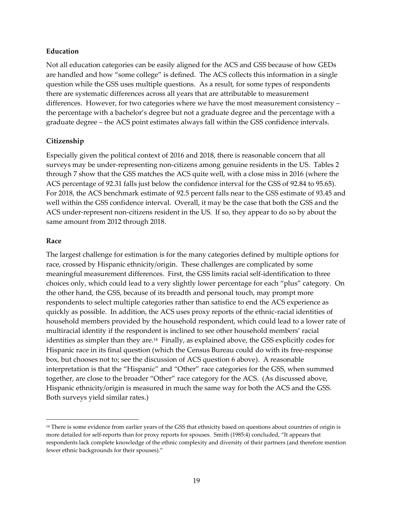#### **Education**

Not all education categories can be easily aligned for the ACS and GSS because of how GEDs are handled and how "some college" is defined. The ACS collects this information in a single question while the GSS uses multiple questions. As a result, for some types of respondents there are systematic differences across all years that are attributable to measurement differences. However, for two categories where we have the most measurement consistency – the percentage with a bachelor's degree but not a graduate degree and the percentage with a graduate degree – the ACS point estimates always fall within the GSS confidence intervals.

#### **Citizenship**

Especially given the political context of 2016 and 2018, there is reasonable concern that all surveys may be under-representing non-citizens among genuine residents in the US. Tables 2 through 7 show that the GSS matches the ACS quite well, with a close miss in 2016 (where the ACS percentage of 92.31 falls just below the confidence interval for the GSS of 92.84 to 95.65). For 2018, the ACS benchmark estimate of 92.5 percent falls near to the GSS estimate of 93.45 and well within the GSS confidence interval. Overall, it may be the case that both the GSS and the ACS under-represent non-citizens resident in the US. If so, they appear to do so by about the same amount from 2012 through 2018.

#### **Race**

The largest challenge for estimation is for the many categories defined by multiple options for race, crossed by Hispanic ethnicity/origin. These challenges are complicated by some meaningful measurement differences. First, the GSS limits racial self-identification to three choices only, which could lead to a very slightly lower percentage for each "plus" category. On the other hand, the GSS, because of its breadth and personal touch, may prompt more respondents to select multiple categories rather than satisfice to end the ACS experience as quickly as possible. In addition, the ACS uses proxy reports of the ethnic-racial identities of household members provided by the household respondent, which could lead to a lower rate of multiracial identity if the respondent is inclined to see other household members' racial identities as simpler than they are. 14 Finally, as explained above, the GSS explicitly codes for Hispanic race in its final question (which the Census Bureau could do with its free-response box, but chooses not to; see the discussion of ACS question 6 above). A reasonable interpretation is that the "Hispanic" and "Other" race categories for the GSS, when summed together, are close to the broader "Other" race category for the ACS. (As discussed above, Hispanic ethnicity/origin is measured in much the same way for both the ACS and the GSS. Both surveys yield similar rates.)

<sup>&</sup>lt;sup>14</sup> There is some evidence from earlier years of the GSS that ethnicity based on questions about countries of origin is more detailed for self-reports than for proxy reports for spouses. Smith (1985:4) concluded, "It appears that respondents lack complete knowledge of the ethnic complexity and diversity of their partners (and therefore mention fewer ethnic backgrounds for their spouses)."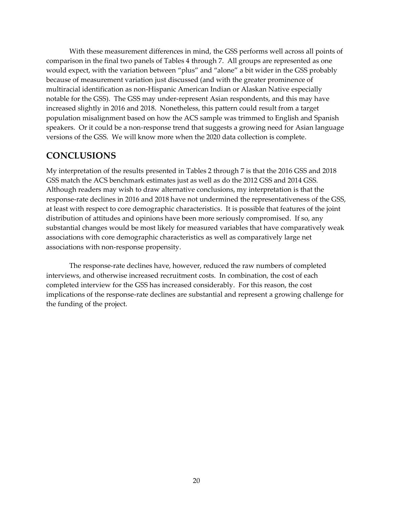With these measurement differences in mind, the GSS performs well across all points of comparison in the final two panels of Tables 4 through 7. All groups are represented as one would expect, with the variation between "plus" and "alone" a bit wider in the GSS probably because of measurement variation just discussed (and with the greater prominence of multiracial identification as non-Hispanic American Indian or Alaskan Native especially notable for the GSS). The GSS may under-represent Asian respondents, and this may have increased slightly in 2016 and 2018. Nonetheless, this pattern could result from a target population misalignment based on how the ACS sample was trimmed to English and Spanish speakers. Or it could be a non-response trend that suggests a growing need for Asian language versions of the GSS. We will know more when the 2020 data collection is complete.

## **CONCLUSIONS**

My interpretation of the results presented in Tables 2 through 7 is that the 2016 GSS and 2018 GSS match the ACS benchmark estimates just as well as do the 2012 GSS and 2014 GSS. Although readers may wish to draw alternative conclusions, my interpretation is that the response-rate declines in 2016 and 2018 have not undermined the representativeness of the GSS, at least with respect to core demographic characteristics. It is possible that features of the joint distribution of attitudes and opinions have been more seriously compromised. If so, any substantial changes would be most likely for measured variables that have comparatively weak associations with core demographic characteristics as well as comparatively large net associations with non-response propensity.

The response-rate declines have, however, reduced the raw numbers of completed interviews, and otherwise increased recruitment costs. In combination, the cost of each completed interview for the GSS has increased considerably. For this reason, the cost implications of the response-rate declines are substantial and represent a growing challenge for the funding of the project.